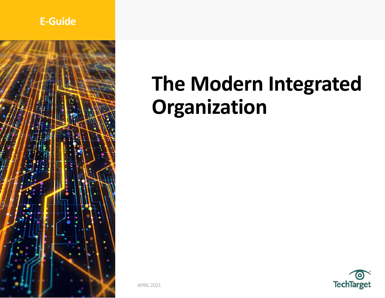# **E-Guide**



# **The Modern Integrated Organization**

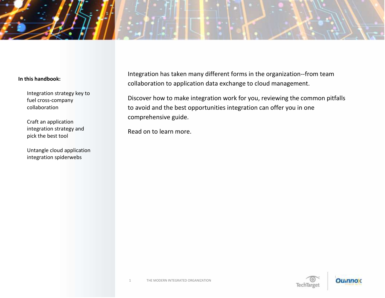

Integration strategy key to fuel cross-company collaboration

Craft an application integration strategy and pick the best tool

Untangle cloud application integration spiderwebs

Integration has taken many different forms in the organization--from team collaboration to application data exchange to cloud management.

Discover how to make integration work for you, reviewing the common pitfalls to avoid and the best opportunities integration can offer you in one comprehensive guide.

Read on to learn more.

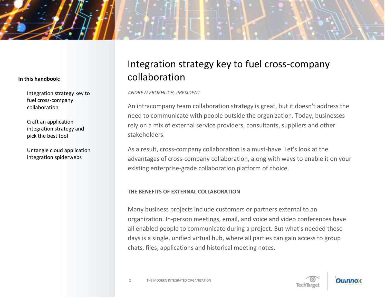Integration strategy key to fuel cross-company collaboration

Craft an application integration strategy and pick the best tool

Untangle cloud application integration spiderwebs

# Integration strategy key to fuel cross-company collaboration

*ANDREW FROEHLICH, PRESIDENT*

An intracompany team collaboration strategy is great, but it doesn't address the need to communicate with people outside the organization. Today, businesses rely on a mix of external service providers, consultants, suppliers and other stakeholders.

As a result, cross-company collaboration is a must-have. Let's look at the advantages of cross-company collaboration, along with ways to enable it on your existing enterprise-grade collaboration platform of choice.

### **THE BENEFITS OF EXTERNAL COLLABORATION**

Many business projects include customers or partners external to an organization. In-person meetings, email, and voice and video conferences have all enabled people to communicate during a project. But what's needed these days is a single, unified virtual hub, where all parties can gain access to group chats, files, applications and historical meeting notes.



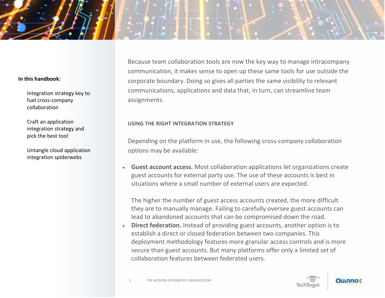Integration strategy key to fuel cross-company collaboration

Craft an application integration strategy and pick the best tool

Untangle cloud application integration spiderwebs

Because team collaboration tools are now the key way to manage intracompany communication, it makes sense to open up these same tools for use outside the corporate boundary. Doing so gives all parties the same visibility to relevant communications, applications and data that, in turn, can streamline team assignments.

### **USING THE RIGHT INTEGRATION STRATEGY**

Depending on the platform in use, the following cross-company collaboration options may be available:

• **Guest account access.** Most collaboration applications let organizations create guest accounts for external party use. The use of these accounts is best in situations where a small number of external users are expected.

The higher the number of guest access accounts created, the more difficult they are to manually manage. Failing to carefully oversee guest accounts can lead to abandoned accounts that can be compromised down the road.

• **Direct federation.** Instead of providing guest accounts, another option is to establish a direct or closed federation between two companies. This deployment methodology features more granular access controls and is more secure than guest accounts. But many platforms offer only a limited set of collaboration features between federated users.

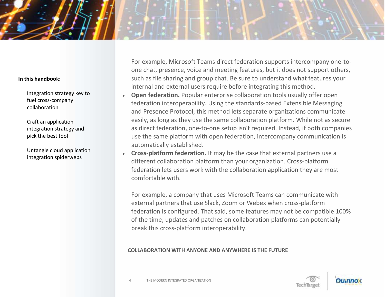Integration strategy key to fuel cross-company collaboration

Craft an application integration strategy and pick the best tool

Untangle cloud application integration spiderwebs

For example, Microsoft Teams direct federation supports intercompany one-toone chat, presence, voice and meeting features, but it does not support others, such as file sharing and group chat. Be sure to understand what features your internal and external users require before integrating this method.

- **Open federation.** Popular enterprise collaboration tools usually offer open federation interoperability. Using the standards-based Extensible Messaging and Presence Protocol, this method lets separate organizations communicate easily, as long as they use the same collaboration platform. While not as secure as direct federation, one-to-one setup isn't required. Instead, if both companies use the same platform with open federation, intercompany communication is automatically established.
- **Cross-platform federation.** It may be the case that external partners use a different collaboration platform than your organization. Cross-platform federation lets users work with the collaboration application they are most comfortable with.

For example, a company that uses Microsoft Teams can communicate with external partners that use Slack, Zoom or Webex when cross-platform federation is configured. That said, some features may not be compatible 100% of the time; updates and patches on collaboration platforms can potentially break this cross-platform interoperability.

### **COLLABORATION WITH ANYONE AND ANYWHERE IS THE FUTURE**

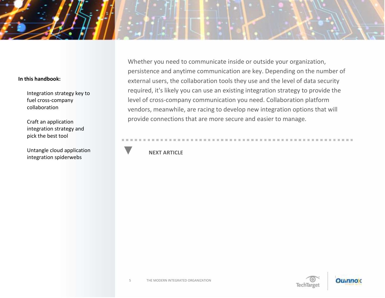Integration strategy key to fuel cross-company collaboration

Craft an application integration strategy and pick the best tool

Untangle cloud application integration spiderwebs

Whether you need to communicate inside or outside your organization, persistence and anytime communication are key. Depending on the number of external users, the collaboration tools they use and the level of data security required, it's likely you can use an existing integration strategy to provide the level of cross-company communication you need. Collaboration platform vendors, meanwhile, are racing to develop new integration options that will provide connections that are more secure and easier to manage.

# **NEXT ARTICLE**

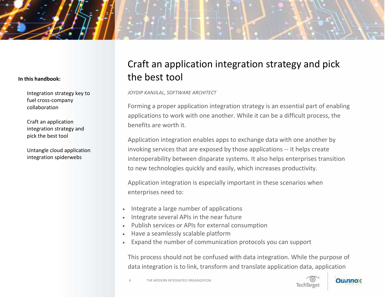Integration strategy key to fuel cross-company collaboration

Craft an application integration strategy and pick the best tool

Untangle cloud application integration spiderwebs

# Craft an application integration strategy and pick the best tool

*JOYDIP KANJILAL, SOFTWARE ARCHITECT*

Forming a proper application integration strategy is an essential part of enabling applications to work with one another. While it can be a difficult process, the benefits are worth it.

Application integration enables apps to exchange data with one another by invoking services that are exposed by those applications -- it helps create interoperability between disparate systems. It also helps enterprises transition to new technologies quickly and easily, which increases productivity.

Application integration is especially important in these scenarios when enterprises need to:

- Integrate a large number of applications
- Integrate several APIs in the near future
- Publish services or APIs for external consumption
- Have a seamlessly scalable platform
- Expand the number of communication protocols you can support

This process should not be confused with data integration. While the purpose of data integration is to link, transform and translate application data, application



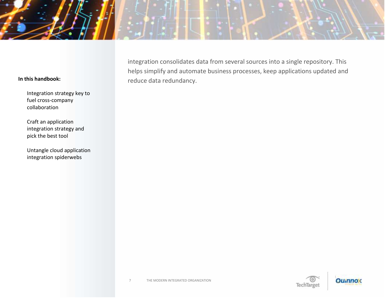Integration strategy key to fuel cross-company collaboration

Craft an application integration strategy and pick the best tool

Untangle cloud application integration spiderwebs

integration consolidates data from several sources into a single repository. This helps simplify and automate business processes, keep applications updated and reduce data redundancy.

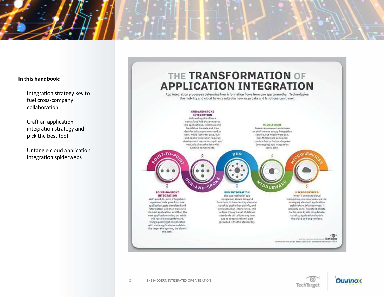

Integration strategy key to fuel cross-company collaboration

Craft an application integration strategy and pick the best tool

Untangle cloud application integration spiderwebs

# THE TRANSFORMATION OF **APPLICATION INTEGRATION**

App integration processes determine how information flows from one app to another. Technologies like mobility and cloud have resulted in new ways data and functions can travel.





TechTarget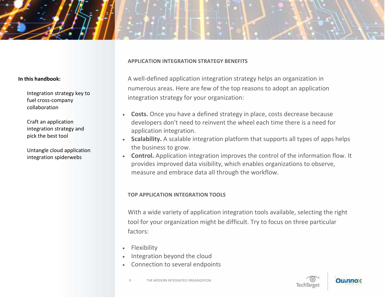

Integration strategy key to fuel cross-company collaboration

Craft an application integration strategy and pick the best tool

Untangle cloud application integration spiderwebs

#### **APPLICATION INTEGRATION STRATEGY BENEFITS**

A well-defined application integration strategy helps an organization in numerous areas. Here are few of the top reasons to adopt an application integration strategy for your organization:

- **Costs.** Once you have a defined strategy in place, costs decrease because developers don't need to reinvent the wheel each time there is a need for application integration.
- **Scalability.** A scalable integration platform that supports all types of apps helps the business to grow.
- **Control.** Application integration improves the control of the information flow. It provides improved data visibility, which enables organizations to observe, measure and embrace data all through the workflow.

### **TOP APPLICATION INTEGRATION TOOLS**

With a wide variety of application integration tools available, selecting the right tool for your organization might be difficult. Try to focus on three particular factors:

- **Flexibility**
- Integration beyond the cloud
- Connection to several endpoints



Ollinno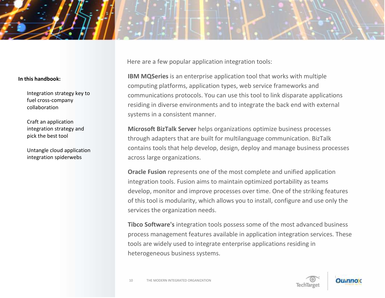

Integration strategy key to fuel cross-company collaboration

Craft an application integration strategy and pick the best tool

Untangle cloud application integration spiderwebs

Here are a few popular application integration tools:

**IBM MQSeries** is an enterprise application tool that works with multiple computing platforms, application types, web service frameworks and communications protocols. You can use this tool to link disparate applications residing in diverse environments and to integrate the back end with external systems in a consistent manner.

**Microsoft BizTalk Server** helps organizations optimize business processes through adapters that are built for multilanguage communication. BizTalk contains tools that help develop, design, deploy and manage business processes across large organizations.

**Oracle Fusion** represents one of the most complete and unified application integration tools. Fusion aims to maintain optimized portability as teams develop, monitor and improve processes over time. One of the striking features of this tool is modularity, which allows you to install, configure and use only the services the organization needs.

**Tibco Software's** integration tools possess some of the most advanced business process management features available in application integration services. These tools are widely used to integrate enterprise applications residing in heterogeneous business systems.

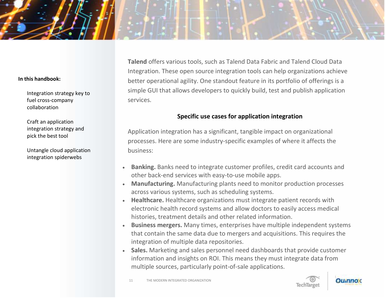Integration strategy key to fuel cross-company collaboration

Craft an application integration strategy and pick the best tool

Untangle cloud application integration spiderwebs

**Talend** offers various tools, such as Talend Data Fabric and Talend Cloud Data Integration. These open source integration tools can help organizations achieve better operational agility. One standout feature in its portfolio of offerings is a simple GUI that allows developers to quickly build, test and publish application services.

# **Specific use cases for application integration**

Application integration has a significant, tangible impact on organizational processes. Here are some industry-specific examples of where it affects the business:

- **Banking.** Banks need to integrate customer profiles, credit card accounts and other back-end services with easy-to-use mobile apps.
- **Manufacturing.** Manufacturing plants need to monitor production processes across various systems, such as scheduling systems.
- **Healthcare.** Healthcare organizations must integrate patient records with electronic health record systems and allow doctors to easily access medical histories, treatment details and other related information.
- **Business mergers.** Many times, enterprises have multiple independent systems that contain the same data due to mergers and acquisitions. This requires the integration of multiple data repositories.
- **Sales.** Marketing and sales personnel need dashboards that provide customer information and insights on ROI. This means they must integrate data from multiple sources, particularly point-of-sale applications.



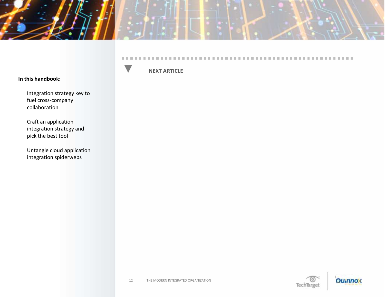

#### **CONTRACTOR**

#### **In this handbook:**

Integration strategy key to fuel cross-company collaboration

Craft an application integration strategy and pick the best tool

Untangle cloud application integration spiderwebs

## **NEXT ARTICLE**

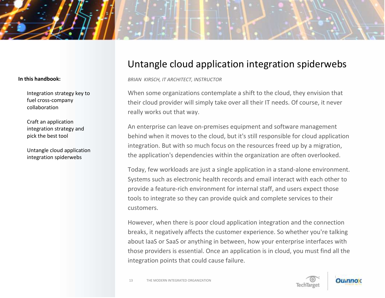

Integration strategy key to fuel cross-company collaboration

Craft an application integration strategy and pick the best tool

Untangle cloud application integration spiderwebs

# Untangle cloud application integration spiderwebs

*BRIAN KIRSCH, IT ARCHITECT, INSTRUCTOR*

When some organizations contemplate a shift to the cloud, they envision that their cloud provider will simply take over all their IT needs. Of course, it never really works out that way.

An enterprise can leave on-premises equipment and software management behind when it moves to the cloud, but it's still responsible for cloud application integration. But with so much focus on the resources freed up by a migration, the application's dependencies within the organization are often overlooked.

Today, few workloads are just a single application in a stand-alone environment. Systems such as electronic health records and email interact with each other to provide a feature-rich environment for internal staff, and users expect those tools to integrate so they can provide quick and complete services to their customers.

However, when there is poor cloud application integration and the connection breaks, it negatively affects the customer experience. So whether you're talking about IaaS or SaaS or anything in between, how your enterprise interfaces with those providers is essential. Once an application is in cloud, you must find all the integration points that could cause failure.

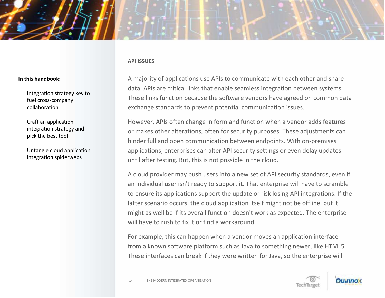

Integration strategy key to fuel cross-company collaboration

Craft an application integration strategy and pick the best tool

Untangle cloud application integration spiderwebs

A majority of applications use APIs to communicate with each other and share data. APIs are critical links that enable seamless integration between systems. These links function because the software vendors have agreed on common data exchange standards to prevent potential communication issues.

However, APIs often change in form and function when a vendor adds features or makes other alterations, often for security purposes. These adjustments can hinder full and open communication between endpoints. With on-premises applications, enterprises can alter API security settings or even delay updates until after testing. But, this is not possible in the cloud.

A cloud provider may push users into a new set of API security standards, even if an individual user isn't ready to support it. That enterprise will have to scramble to ensure its applications support the update or risk losing API integrations. If the latter scenario occurs, the cloud application itself might not be offline, but it might as well be if its overall function doesn't work as expected. The enterprise will have to rush to fix it or find a workaround.

For example, this can happen when a vendor moves an application interface from a known software platform such as Java to something newer, like HTML5. These interfaces can break if they were written for Java, so the enterprise will

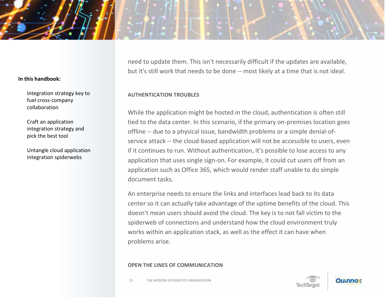Integration strategy key to fuel cross-company collaboration

Craft an application integration strategy and pick the best tool

Untangle cloud application integration spiderwebs

need to update them. This isn't necessarily difficult if the updates are available, but it's still work that needs to be done -- most likely at a time that is not ideal.

# **AUTHENTICATION TROUBLES**

While the application might be hosted in the cloud, authentication is often still tied to the data center. In this scenario, if the primary on-premises location goes offline -- due to a physical issue, bandwidth problems or a simple denial-ofservice attack -- the cloud-based application will not be accessible to users, even if it continues to run. Without authentication, it's possible to lose access to any application that uses single sign-on. For example, it could cut users off from an application such as Office 365, which would render staff unable to do simple document tasks.

An enterprise needs to ensure the links and interfaces lead back to its data center so it can actually take advantage of the uptime benefits of the cloud. This doesn't mean users should avoid the cloud. The key is to not fall victim to the spiderweb of connections and understand how the cloud environment truly works within an application stack, as well as the effect it can have when problems arise.

### **OPEN THE LINES OF COMMUNICATION**